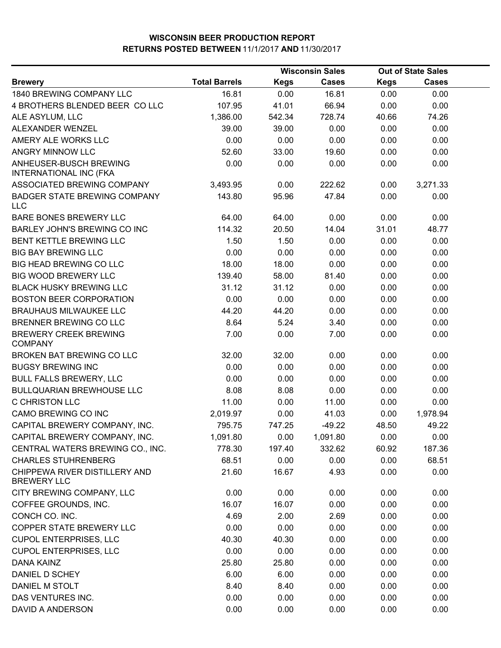|                                                         |                      | <b>Wisconsin Sales</b> |              | <b>Out of State Sales</b> |              |  |
|---------------------------------------------------------|----------------------|------------------------|--------------|---------------------------|--------------|--|
| <b>Brewery</b>                                          | <b>Total Barrels</b> | <b>Kegs</b>            | <b>Cases</b> | <b>Kegs</b>               | <b>Cases</b> |  |
| 1840 BREWING COMPANY LLC                                | 16.81                | 0.00                   | 16.81        | 0.00                      | 0.00         |  |
| 4 BROTHERS BLENDED BEER COLLC                           | 107.95               | 41.01                  | 66.94        | 0.00                      | 0.00         |  |
| ALE ASYLUM, LLC                                         | 1,386.00             | 542.34                 | 728.74       | 40.66                     | 74.26        |  |
| ALEXANDER WENZEL                                        | 39.00                | 39.00                  | 0.00         | 0.00                      | 0.00         |  |
| AMERY ALE WORKS LLC                                     | 0.00                 | 0.00                   | 0.00         | 0.00                      | 0.00         |  |
| ANGRY MINNOW LLC                                        | 52.60                | 33.00                  | 19.60        | 0.00                      | 0.00         |  |
| ANHEUSER-BUSCH BREWING<br><b>INTERNATIONAL INC (FKA</b> | 0.00                 | 0.00                   | 0.00         | 0.00                      | 0.00         |  |
| ASSOCIATED BREWING COMPANY                              | 3,493.95             | 0.00                   | 222.62       | 0.00                      | 3,271.33     |  |
| <b>BADGER STATE BREWING COMPANY</b><br><b>LLC</b>       | 143.80               | 95.96                  | 47.84        | 0.00                      | 0.00         |  |
| BARE BONES BREWERY LLC                                  | 64.00                | 64.00                  | 0.00         | 0.00                      | 0.00         |  |
| BARLEY JOHN'S BREWING CO INC                            | 114.32               | 20.50                  | 14.04        | 31.01                     | 48.77        |  |
| BENT KETTLE BREWING LLC                                 | 1.50                 | 1.50                   | 0.00         | 0.00                      | 0.00         |  |
| <b>BIG BAY BREWING LLC</b>                              | 0.00                 | 0.00                   | 0.00         | 0.00                      | 0.00         |  |
| BIG HEAD BREWING CO LLC                                 | 18.00                | 18.00                  | 0.00         | 0.00                      | 0.00         |  |
| BIG WOOD BREWERY LLC                                    | 139.40               | 58.00                  | 81.40        | 0.00                      | 0.00         |  |
| <b>BLACK HUSKY BREWING LLC</b>                          | 31.12                | 31.12                  | 0.00         | 0.00                      | 0.00         |  |
| <b>BOSTON BEER CORPORATION</b>                          | 0.00                 | 0.00                   | 0.00         | 0.00                      | 0.00         |  |
| <b>BRAUHAUS MILWAUKEE LLC</b>                           | 44.20                | 44.20                  | 0.00         | 0.00                      | 0.00         |  |
| BRENNER BREWING CO LLC                                  | 8.64                 | 5.24                   | 3.40         | 0.00                      | 0.00         |  |
| <b>BREWERY CREEK BREWING</b><br><b>COMPANY</b>          | 7.00                 | 0.00                   | 7.00         | 0.00                      | 0.00         |  |
| BROKEN BAT BREWING CO LLC                               | 32.00                | 32.00                  | 0.00         | 0.00                      | 0.00         |  |
| <b>BUGSY BREWING INC</b>                                | 0.00                 | 0.00                   | 0.00         | 0.00                      | 0.00         |  |
| <b>BULL FALLS BREWERY, LLC</b>                          | 0.00                 | 0.00                   | 0.00         | 0.00                      | 0.00         |  |
| <b>BULLQUARIAN BREWHOUSE LLC</b>                        | 8.08                 | 8.08                   | 0.00         | 0.00                      | 0.00         |  |
| C CHRISTON LLC                                          | 11.00                | 0.00                   | 11.00        | 0.00                      | 0.00         |  |
| CAMO BREWING CO INC                                     | 2,019.97             | 0.00                   | 41.03        | 0.00                      | 1,978.94     |  |
| CAPITAL BREWERY COMPANY, INC.                           | 795.75               | 747.25                 | $-49.22$     | 48.50                     | 49.22        |  |
| CAPITAL BREWERY COMPANY, INC.                           | 1,091.80             | 0.00                   | 1,091.80     | 0.00                      | 0.00         |  |
| CENTRAL WATERS BREWING CO., INC.                        | 778.30               | 197.40                 | 332.62       | 60.92                     | 187.36       |  |
| <b>CHARLES STUHRENBERG</b>                              | 68.51                | 0.00                   | 0.00         | 0.00                      | 68.51        |  |
| CHIPPEWA RIVER DISTILLERY AND<br><b>BREWERY LLC</b>     | 21.60                | 16.67                  | 4.93         | 0.00                      | 0.00         |  |
| CITY BREWING COMPANY, LLC                               | 0.00                 | 0.00                   | 0.00         | 0.00                      | 0.00         |  |
| COFFEE GROUNDS, INC.                                    | 16.07                | 16.07                  | 0.00         | 0.00                      | 0.00         |  |
| CONCH CO. INC.                                          | 4.69                 | 2.00                   | 2.69         | 0.00                      | 0.00         |  |
| COPPER STATE BREWERY LLC                                | 0.00                 | 0.00                   | 0.00         | 0.00                      | 0.00         |  |
| <b>CUPOL ENTERPRISES, LLC</b>                           | 40.30                | 40.30                  | 0.00         | 0.00                      | 0.00         |  |
| <b>CUPOL ENTERPRISES, LLC</b>                           | 0.00                 | 0.00                   | 0.00         | 0.00                      | 0.00         |  |
| <b>DANA KAINZ</b>                                       | 25.80                | 25.80                  | 0.00         | 0.00                      | 0.00         |  |
| DANIEL D SCHEY                                          | 6.00                 | 6.00                   | 0.00         | 0.00                      | 0.00         |  |
| DANIEL M STOLT                                          | 8.40                 | 8.40                   | 0.00         | 0.00                      | 0.00         |  |
| DAS VENTURES INC.                                       | 0.00                 | 0.00                   | 0.00         | 0.00                      | 0.00         |  |
| DAVID A ANDERSON                                        | 0.00                 | 0.00                   | 0.00         | 0.00                      | 0.00         |  |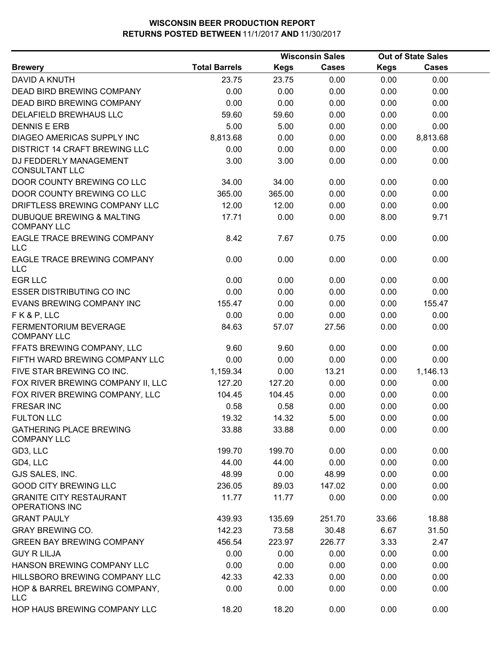|                                                            |                      |             | <b>Wisconsin Sales</b> |             | <b>Out of State Sales</b> |  |
|------------------------------------------------------------|----------------------|-------------|------------------------|-------------|---------------------------|--|
| <b>Brewery</b>                                             | <b>Total Barrels</b> | <b>Kegs</b> | <b>Cases</b>           | <b>Kegs</b> | <b>Cases</b>              |  |
| DAVID A KNUTH                                              | 23.75                | 23.75       | 0.00                   | 0.00        | 0.00                      |  |
| DEAD BIRD BREWING COMPANY                                  | 0.00                 | 0.00        | 0.00                   | 0.00        | 0.00                      |  |
| <b>DEAD BIRD BREWING COMPANY</b>                           | 0.00                 | 0.00        | 0.00                   | 0.00        | 0.00                      |  |
| DELAFIELD BREWHAUS LLC                                     | 59.60                | 59.60       | 0.00                   | 0.00        | 0.00                      |  |
| <b>DENNIS E ERB</b>                                        | 5.00                 | 5.00        | 0.00                   | 0.00        | 0.00                      |  |
| DIAGEO AMERICAS SUPPLY INC                                 | 8,813.68             | 0.00        | 0.00                   | 0.00        | 8,813.68                  |  |
| <b>DISTRICT 14 CRAFT BREWING LLC</b>                       | 0.00                 | 0.00        | 0.00                   | 0.00        | 0.00                      |  |
| DJ FEDDERLY MANAGEMENT<br><b>CONSULTANT LLC</b>            | 3.00                 | 3.00        | 0.00                   | 0.00        | 0.00                      |  |
| DOOR COUNTY BREWING CO LLC                                 | 34.00                | 34.00       | 0.00                   | 0.00        | 0.00                      |  |
| DOOR COUNTY BREWING CO LLC                                 | 365.00               | 365.00      | 0.00                   | 0.00        | 0.00                      |  |
| DRIFTLESS BREWING COMPANY LLC                              | 12.00                | 12.00       | 0.00                   | 0.00        | 0.00                      |  |
| <b>DUBUQUE BREWING &amp; MALTING</b><br><b>COMPANY LLC</b> | 17.71                | 0.00        | 0.00                   | 8.00        | 9.71                      |  |
| EAGLE TRACE BREWING COMPANY<br><b>LLC</b>                  | 8.42                 | 7.67        | 0.75                   | 0.00        | 0.00                      |  |
| EAGLE TRACE BREWING COMPANY<br>LLC                         | 0.00                 | 0.00        | 0.00                   | 0.00        | 0.00                      |  |
| <b>EGR LLC</b>                                             | 0.00                 | 0.00        | 0.00                   | 0.00        | 0.00                      |  |
| <b>ESSER DISTRIBUTING CO INC</b>                           | 0.00                 | 0.00        | 0.00                   | 0.00        | 0.00                      |  |
| EVANS BREWING COMPANY INC                                  | 155.47               | 0.00        | 0.00                   | 0.00        | 155.47                    |  |
| FK&P, LLC                                                  | 0.00                 | 0.00        | 0.00                   | 0.00        | 0.00                      |  |
| FERMENTORIUM BEVERAGE<br><b>COMPANY LLC</b>                | 84.63                | 57.07       | 27.56                  | 0.00        | 0.00                      |  |
| FFATS BREWING COMPANY, LLC                                 | 9.60                 | 9.60        | 0.00                   | 0.00        | 0.00                      |  |
| FIFTH WARD BREWING COMPANY LLC                             | 0.00                 | 0.00        | 0.00                   | 0.00        | 0.00                      |  |
| FIVE STAR BREWING CO INC.                                  | 1,159.34             | 0.00        | 13.21                  | 0.00        | 1,146.13                  |  |
| FOX RIVER BREWING COMPANY II, LLC                          | 127.20               | 127.20      | 0.00                   | 0.00        | 0.00                      |  |
| FOX RIVER BREWING COMPANY, LLC                             | 104.45               | 104.45      | 0.00                   | 0.00        | 0.00                      |  |
| <b>FRESAR INC</b>                                          | 0.58                 | 0.58        | 0.00                   | 0.00        | 0.00                      |  |
| <b>FULTON LLC</b>                                          | 19.32                | 14.32       | 5.00                   | 0.00        | 0.00                      |  |
| <b>GATHERING PLACE BREWING</b><br><b>COMPANY LLC</b>       | 33.88                | 33.88       | 0.00                   | 0.00        | 0.00                      |  |
| GD3, LLC                                                   | 199.70               | 199.70      | 0.00                   | 0.00        | 0.00                      |  |
| GD4, LLC                                                   | 44.00                | 44.00       | 0.00                   | 0.00        | 0.00                      |  |
| GJS SALES, INC.                                            | 48.99                | 0.00        | 48.99                  | 0.00        | 0.00                      |  |
| <b>GOOD CITY BREWING LLC</b>                               | 236.05               | 89.03       | 147.02                 | 0.00        | 0.00                      |  |
| <b>GRANITE CITY RESTAURANT</b><br><b>OPERATIONS INC</b>    | 11.77                | 11.77       | 0.00                   | 0.00        | 0.00                      |  |
| <b>GRANT PAULY</b>                                         | 439.93               | 135.69      | 251.70                 | 33.66       | 18.88                     |  |
| <b>GRAY BREWING CO.</b>                                    | 142.23               | 73.58       | 30.48                  | 6.67        | 31.50                     |  |
| <b>GREEN BAY BREWING COMPANY</b>                           | 456.54               | 223.97      | 226.77                 | 3.33        | 2.47                      |  |
| <b>GUY R LILJA</b>                                         | 0.00                 | 0.00        | 0.00                   | 0.00        | 0.00                      |  |
| HANSON BREWING COMPANY LLC                                 | 0.00                 | 0.00        | 0.00                   | 0.00        | 0.00                      |  |
| HILLSBORO BREWING COMPANY LLC                              | 42.33                | 42.33       | 0.00                   | 0.00        | 0.00                      |  |
| HOP & BARREL BREWING COMPANY,<br><b>LLC</b>                | 0.00                 | 0.00        | 0.00                   | 0.00        | 0.00                      |  |
| HOP HAUS BREWING COMPANY LLC                               | 18.20                | 18.20       | 0.00                   | 0.00        | 0.00                      |  |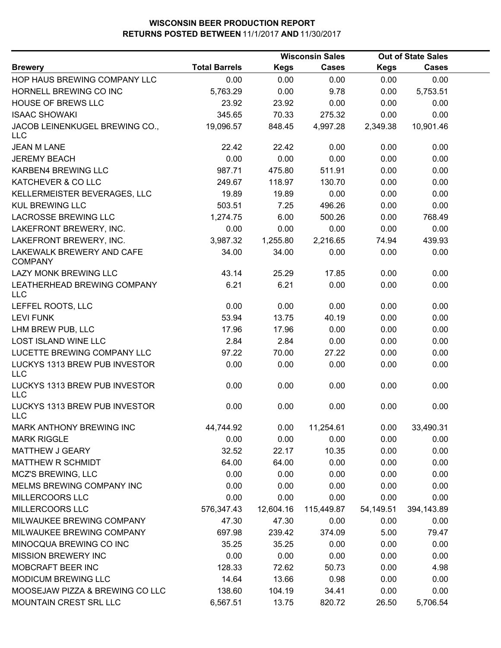|                                             |                      |             | <b>Wisconsin Sales</b> |             | <b>Out of State Sales</b> |  |
|---------------------------------------------|----------------------|-------------|------------------------|-------------|---------------------------|--|
| <b>Brewery</b>                              | <b>Total Barrels</b> | <b>Kegs</b> | <b>Cases</b>           | <b>Kegs</b> | <b>Cases</b>              |  |
| HOP HAUS BREWING COMPANY LLC                | 0.00                 | 0.00        | 0.00                   | 0.00        | 0.00                      |  |
| HORNELL BREWING CO INC                      | 5,763.29             | 0.00        | 9.78                   | 0.00        | 5,753.51                  |  |
| HOUSE OF BREWS LLC                          | 23.92                | 23.92       | 0.00                   | 0.00        | 0.00                      |  |
| <b>ISAAC SHOWAKI</b>                        | 345.65               | 70.33       | 275.32                 | 0.00        | 0.00                      |  |
| JACOB LEINENKUGEL BREWING CO.,<br>LLC       | 19,096.57            | 848.45      | 4,997.28               | 2,349.38    | 10,901.46                 |  |
| <b>JEAN M LANE</b>                          | 22.42                | 22.42       | 0.00                   | 0.00        | 0.00                      |  |
| <b>JEREMY BEACH</b>                         | 0.00                 | 0.00        | 0.00                   | 0.00        | 0.00                      |  |
| KARBEN4 BREWING LLC                         | 987.71               | 475.80      | 511.91                 | 0.00        | 0.00                      |  |
| KATCHEVER & CO LLC                          | 249.67               | 118.97      | 130.70                 | 0.00        | 0.00                      |  |
| KELLERMEISTER BEVERAGES, LLC                | 19.89                | 19.89       | 0.00                   | 0.00        | 0.00                      |  |
| <b>KUL BREWING LLC</b>                      | 503.51               | 7.25        | 496.26                 | 0.00        | 0.00                      |  |
| LACROSSE BREWING LLC                        | 1,274.75             | 6.00        | 500.26                 | 0.00        | 768.49                    |  |
| LAKEFRONT BREWERY, INC.                     | 0.00                 | 0.00        | 0.00                   | 0.00        | 0.00                      |  |
| LAKEFRONT BREWERY, INC.                     | 3,987.32             | 1,255.80    | 2,216.65               | 74.94       | 439.93                    |  |
| LAKEWALK BREWERY AND CAFE<br><b>COMPANY</b> | 34.00                | 34.00       | 0.00                   | 0.00        | 0.00                      |  |
| LAZY MONK BREWING LLC                       | 43.14                | 25.29       | 17.85                  | 0.00        | 0.00                      |  |
| LEATHERHEAD BREWING COMPANY<br><b>LLC</b>   | 6.21                 | 6.21        | 0.00                   | 0.00        | 0.00                      |  |
| LEFFEL ROOTS, LLC                           | 0.00                 | 0.00        | 0.00                   | 0.00        | 0.00                      |  |
| <b>LEVI FUNK</b>                            | 53.94                | 13.75       | 40.19                  | 0.00        | 0.00                      |  |
| LHM BREW PUB, LLC                           | 17.96                | 17.96       | 0.00                   | 0.00        | 0.00                      |  |
| <b>LOST ISLAND WINE LLC</b>                 | 2.84                 | 2.84        | 0.00                   | 0.00        | 0.00                      |  |
| LUCETTE BREWING COMPANY LLC                 | 97.22                | 70.00       | 27.22                  | 0.00        | 0.00                      |  |
| LUCKYS 1313 BREW PUB INVESTOR<br><b>LLC</b> | 0.00                 | 0.00        | 0.00                   | 0.00        | 0.00                      |  |
| LUCKYS 1313 BREW PUB INVESTOR<br><b>LLC</b> | 0.00                 | 0.00        | 0.00                   | 0.00        | 0.00                      |  |
| LUCKYS 1313 BREW PUB INVESTOR<br>LLC.       | 0.00                 | 0.00        | 0.00                   | 0.00        | 0.00                      |  |
| MARK ANTHONY BREWING INC                    | 44,744.92            | 0.00        | 11,254.61              | 0.00        | 33,490.31                 |  |
| <b>MARK RIGGLE</b>                          | 0.00                 | 0.00        | 0.00                   | 0.00        | 0.00                      |  |
| <b>MATTHEW J GEARY</b>                      | 32.52                | 22.17       | 10.35                  | 0.00        | 0.00                      |  |
| MATTHEW R SCHMIDT                           | 64.00                | 64.00       | 0.00                   | 0.00        | 0.00                      |  |
| <b>MCZ'S BREWING, LLC</b>                   | 0.00                 | 0.00        | 0.00                   | 0.00        | 0.00                      |  |
| MELMS BREWING COMPANY INC                   | 0.00                 | 0.00        | 0.00                   | 0.00        | 0.00                      |  |
| MILLERCOORS LLC                             | 0.00                 | 0.00        | 0.00                   | 0.00        | 0.00                      |  |
| MILLERCOORS LLC                             | 576,347.43           | 12,604.16   | 115,449.87             | 54,149.51   | 394,143.89                |  |
| MILWAUKEE BREWING COMPANY                   | 47.30                | 47.30       | 0.00                   | 0.00        | 0.00                      |  |
| MILWAUKEE BREWING COMPANY                   | 697.98               | 239.42      | 374.09                 | 5.00        | 79.47                     |  |
| MINOCQUA BREWING CO INC                     | 35.25                | 35.25       | 0.00                   | 0.00        | 0.00                      |  |
| <b>MISSION BREWERY INC</b>                  | 0.00                 | 0.00        | 0.00                   | 0.00        | 0.00                      |  |
| MOBCRAFT BEER INC                           | 128.33               | 72.62       | 50.73                  | 0.00        | 4.98                      |  |
| MODICUM BREWING LLC                         | 14.64                | 13.66       | 0.98                   | 0.00        | 0.00                      |  |
| MOOSEJAW PIZZA & BREWING CO LLC             | 138.60               | 104.19      | 34.41                  | 0.00        | 0.00                      |  |
| MOUNTAIN CREST SRL LLC                      | 6,567.51             | 13.75       | 820.72                 | 26.50       | 5,706.54                  |  |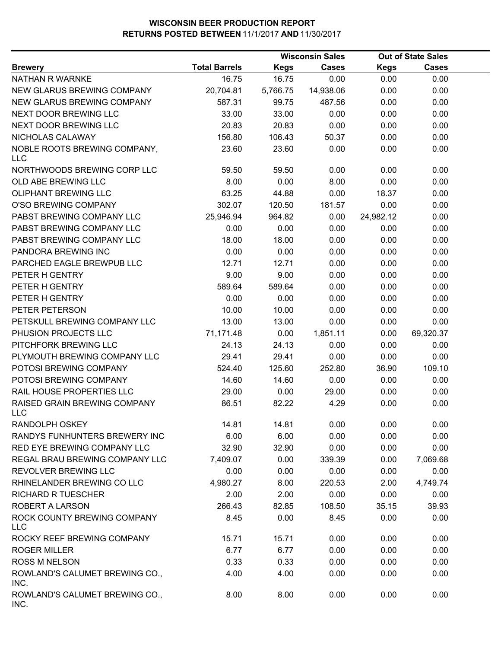|                                            |                      |             | <b>Wisconsin Sales</b> | <b>Out of State Sales</b> |              |  |
|--------------------------------------------|----------------------|-------------|------------------------|---------------------------|--------------|--|
| <b>Brewery</b>                             | <b>Total Barrels</b> | <b>Kegs</b> | <b>Cases</b>           | <b>Kegs</b>               | <b>Cases</b> |  |
| NATHAN R WARNKE                            | 16.75                | 16.75       | 0.00                   | 0.00                      | 0.00         |  |
| NEW GLARUS BREWING COMPANY                 | 20,704.81            | 5,766.75    | 14,938.06              | 0.00                      | 0.00         |  |
| NEW GLARUS BREWING COMPANY                 | 587.31               | 99.75       | 487.56                 | 0.00                      | 0.00         |  |
| NEXT DOOR BREWING LLC                      | 33.00                | 33.00       | 0.00                   | 0.00                      | 0.00         |  |
| NEXT DOOR BREWING LLC                      | 20.83                | 20.83       | 0.00                   | 0.00                      | 0.00         |  |
| NICHOLAS CALAWAY                           | 156.80               | 106.43      | 50.37                  | 0.00                      | 0.00         |  |
| NOBLE ROOTS BREWING COMPANY,<br><b>LLC</b> | 23.60                | 23.60       | 0.00                   | 0.00                      | 0.00         |  |
| NORTHWOODS BREWING CORP LLC                | 59.50                | 59.50       | 0.00                   | 0.00                      | 0.00         |  |
| OLD ABE BREWING LLC                        | 8.00                 | 0.00        | 8.00                   | 0.00                      | 0.00         |  |
| <b>OLIPHANT BREWING LLC</b>                | 63.25                | 44.88       | 0.00                   | 18.37                     | 0.00         |  |
| O'SO BREWING COMPANY                       | 302.07               | 120.50      | 181.57                 | 0.00                      | 0.00         |  |
| PABST BREWING COMPANY LLC                  | 25,946.94            | 964.82      | 0.00                   | 24,982.12                 | 0.00         |  |
| PABST BREWING COMPANY LLC                  | 0.00                 | 0.00        | 0.00                   | 0.00                      | 0.00         |  |
| PABST BREWING COMPANY LLC                  | 18.00                | 18.00       | 0.00                   | 0.00                      | 0.00         |  |
| PANDORA BREWING INC                        | 0.00                 | 0.00        | 0.00                   | 0.00                      | 0.00         |  |
| PARCHED EAGLE BREWPUB LLC                  | 12.71                | 12.71       | 0.00                   | 0.00                      | 0.00         |  |
| PETER H GENTRY                             | 9.00                 | 9.00        | 0.00                   | 0.00                      | 0.00         |  |
| PETER H GENTRY                             | 589.64               | 589.64      | 0.00                   | 0.00                      | 0.00         |  |
| PETER H GENTRY                             | 0.00                 | 0.00        | 0.00                   | 0.00                      | 0.00         |  |
| PETER PETERSON                             | 10.00                | 10.00       | 0.00                   | 0.00                      | 0.00         |  |
| PETSKULL BREWING COMPANY LLC               | 13.00                | 13.00       | 0.00                   | 0.00                      | 0.00         |  |
| PHUSION PROJECTS LLC                       | 71,171.48            | 0.00        | 1,851.11               | 0.00                      | 69,320.37    |  |
| PITCHFORK BREWING LLC                      | 24.13                | 24.13       | 0.00                   | 0.00                      | 0.00         |  |
| PLYMOUTH BREWING COMPANY LLC               | 29.41                | 29.41       | 0.00                   | 0.00                      | 0.00         |  |
| POTOSI BREWING COMPANY                     | 524.40               | 125.60      | 252.80                 | 36.90                     | 109.10       |  |
| POTOSI BREWING COMPANY                     | 14.60                | 14.60       | 0.00                   | 0.00                      | 0.00         |  |
| RAIL HOUSE PROPERTIES LLC                  | 29.00                | 0.00        | 29.00                  | 0.00                      | 0.00         |  |
| RAISED GRAIN BREWING COMPANY<br>LLC        | 86.51                | 82.22       | 4.29                   | 0.00                      | 0.00         |  |
| RANDOLPH OSKEY                             | 14.81                | 14.81       | 0.00                   | 0.00                      | 0.00         |  |
| RANDYS FUNHUNTERS BREWERY INC              | 6.00                 | 6.00        | 0.00                   | 0.00                      | 0.00         |  |
| RED EYE BREWING COMPANY LLC                | 32.90                | 32.90       | 0.00                   | 0.00                      | 0.00         |  |
| REGAL BRAU BREWING COMPANY LLC             | 7,409.07             | 0.00        | 339.39                 | 0.00                      | 7,069.68     |  |
| REVOLVER BREWING LLC                       | 0.00                 | 0.00        | 0.00                   | 0.00                      | 0.00         |  |
| RHINELANDER BREWING CO LLC                 | 4,980.27             | 8.00        | 220.53                 | 2.00                      | 4,749.74     |  |
| <b>RICHARD R TUESCHER</b>                  | 2.00                 | 2.00        | 0.00                   | 0.00                      | 0.00         |  |
| ROBERT A LARSON                            | 266.43               | 82.85       | 108.50                 | 35.15                     | 39.93        |  |
| ROCK COUNTY BREWING COMPANY<br>LLC         | 8.45                 | 0.00        | 8.45                   | 0.00                      | 0.00         |  |
| ROCKY REEF BREWING COMPANY                 | 15.71                | 15.71       | 0.00                   | 0.00                      | 0.00         |  |
| <b>ROGER MILLER</b>                        | 6.77                 | 6.77        | 0.00                   | 0.00                      | 0.00         |  |
| <b>ROSS M NELSON</b>                       | 0.33                 | 0.33        | 0.00                   | 0.00                      | 0.00         |  |
| ROWLAND'S CALUMET BREWING CO.,<br>INC.     | 4.00                 | 4.00        | 0.00                   | 0.00                      | 0.00         |  |
| ROWLAND'S CALUMET BREWING CO.,<br>INC.     | 8.00                 | 8.00        | 0.00                   | 0.00                      | 0.00         |  |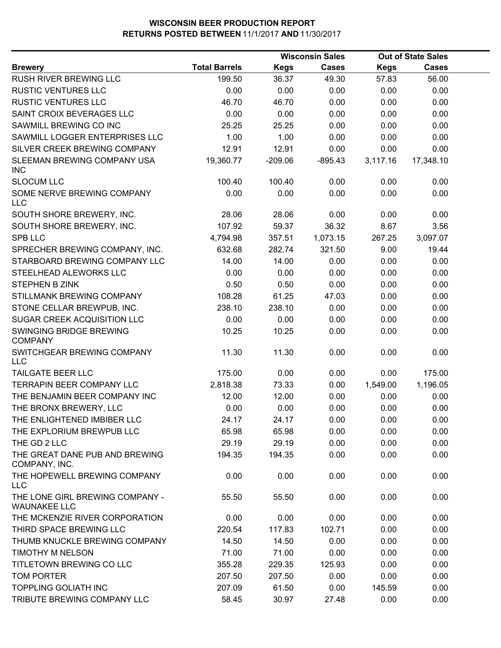|                                                        |                      |             | <b>Wisconsin Sales</b> |             | <b>Out of State Sales</b> |  |
|--------------------------------------------------------|----------------------|-------------|------------------------|-------------|---------------------------|--|
| <b>Brewery</b>                                         | <b>Total Barrels</b> | <b>Kegs</b> | <b>Cases</b>           | <b>Kegs</b> | Cases                     |  |
| <b>RUSH RIVER BREWING LLC</b>                          | 199.50               | 36.37       | 49.30                  | 57.83       | 56.00                     |  |
| <b>RUSTIC VENTURES LLC</b>                             | 0.00                 | 0.00        | 0.00                   | 0.00        | 0.00                      |  |
| <b>RUSTIC VENTURES LLC</b>                             | 46.70                | 46.70       | 0.00                   | 0.00        | 0.00                      |  |
| SAINT CROIX BEVERAGES LLC                              | 0.00                 | 0.00        | 0.00                   | 0.00        | 0.00                      |  |
| SAWMILL BREWING CO INC                                 | 25.25                | 25.25       | 0.00                   | 0.00        | 0.00                      |  |
| SAWMILL LOGGER ENTERPRISES LLC                         | 1.00                 | 1.00        | 0.00                   | 0.00        | 0.00                      |  |
| SILVER CREEK BREWING COMPANY                           | 12.91                | 12.91       | 0.00                   | 0.00        | 0.00                      |  |
| SLEEMAN BREWING COMPANY USA<br><b>INC</b>              | 19,360.77            | $-209.06$   | $-895.43$              | 3,117.16    | 17,348.10                 |  |
| <b>SLOCUM LLC</b>                                      | 100.40               | 100.40      | 0.00                   | 0.00        | 0.00                      |  |
| SOME NERVE BREWING COMPANY<br><b>LLC</b>               | 0.00                 | 0.00        | 0.00                   | 0.00        | 0.00                      |  |
| SOUTH SHORE BREWERY, INC.                              | 28.06                | 28.06       | 0.00                   | 0.00        | 0.00                      |  |
| SOUTH SHORE BREWERY, INC.                              | 107.92               | 59.37       | 36.32                  | 8.67        | 3.56                      |  |
| <b>SPB LLC</b>                                         | 4,794.98             | 357.51      | 1,073.15               | 267.25      | 3,097.07                  |  |
| SPRECHER BREWING COMPANY, INC.                         | 632.68               | 282.74      | 321.50                 | 9.00        | 19.44                     |  |
| STARBOARD BREWING COMPANY LLC                          | 14.00                | 14.00       | 0.00                   | 0.00        | 0.00                      |  |
| STEELHEAD ALEWORKS LLC                                 | 0.00                 | 0.00        | 0.00                   | 0.00        | 0.00                      |  |
| STEPHEN B ZINK                                         | 0.50                 | 0.50        | 0.00                   | 0.00        | 0.00                      |  |
| STILLMANK BREWING COMPANY                              | 108.28               | 61.25       | 47.03                  | 0.00        | 0.00                      |  |
| STONE CELLAR BREWPUB, INC.                             | 238.10               | 238.10      | 0.00                   | 0.00        | 0.00                      |  |
| SUGAR CREEK ACQUISITION LLC                            | 0.00                 | 0.00        | 0.00                   | 0.00        | 0.00                      |  |
| SWINGING BRIDGE BREWING<br><b>COMPANY</b>              | 10.25                | 10.25       | 0.00                   | 0.00        | 0.00                      |  |
| SWITCHGEAR BREWING COMPANY<br><b>LLC</b>               | 11.30                | 11.30       | 0.00                   | 0.00        | 0.00                      |  |
| <b>TAILGATE BEER LLC</b>                               | 175.00               | 0.00        | 0.00                   | 0.00        | 175.00                    |  |
| TERRAPIN BEER COMPANY LLC                              | 2,818.38             | 73.33       | 0.00                   | 1,549.00    | 1,196.05                  |  |
| THE BENJAMIN BEER COMPANY INC                          | 12.00                | 12.00       | 0.00                   | 0.00        | 0.00                      |  |
| THE BRONX BREWERY, LLC                                 | 0.00                 | 0.00        | 0.00                   | 0.00        | 0.00                      |  |
| THE ENLIGHTENED IMBIBER LLC                            | 24.17                | 24.17       | 0.00                   | 0.00        | 0.00                      |  |
| THE EXPLORIUM BREWPUB LLC                              | 65.98                | 65.98       | 0.00                   | 0.00        | 0.00                      |  |
| THE GD 2 LLC                                           | 29.19                | 29.19       | 0.00                   | 0.00        | 0.00                      |  |
| THE GREAT DANE PUB AND BREWING<br>COMPANY, INC.        | 194.35               | 194.35      | 0.00                   | 0.00        | 0.00                      |  |
| THE HOPEWELL BREWING COMPANY<br><b>LLC</b>             | 0.00                 | 0.00        | 0.00                   | 0.00        | 0.00                      |  |
| THE LONE GIRL BREWING COMPANY -<br><b>WAUNAKEE LLC</b> | 55.50                | 55.50       | 0.00                   | 0.00        | 0.00                      |  |
| THE MCKENZIE RIVER CORPORATION                         | 0.00                 | 0.00        | 0.00                   | 0.00        | 0.00                      |  |
| THIRD SPACE BREWING LLC                                | 220.54               | 117.83      | 102.71                 | 0.00        | 0.00                      |  |
| THUMB KNUCKLE BREWING COMPANY                          | 14.50                | 14.50       | 0.00                   | 0.00        | 0.00                      |  |
| TIMOTHY M NELSON                                       | 71.00                | 71.00       | 0.00                   | 0.00        | 0.00                      |  |
| TITLETOWN BREWING CO LLC                               | 355.28               | 229.35      | 125.93                 | 0.00        | 0.00                      |  |
| <b>TOM PORTER</b>                                      | 207.50               | 207.50      | 0.00                   | 0.00        | 0.00                      |  |
| <b>TOPPLING GOLIATH INC</b>                            | 207.09               | 61.50       | 0.00                   | 145.59      | 0.00                      |  |
| TRIBUTE BREWING COMPANY LLC                            | 58.45                | 30.97       | 27.48                  | 0.00        | 0.00                      |  |
|                                                        |                      |             |                        |             |                           |  |